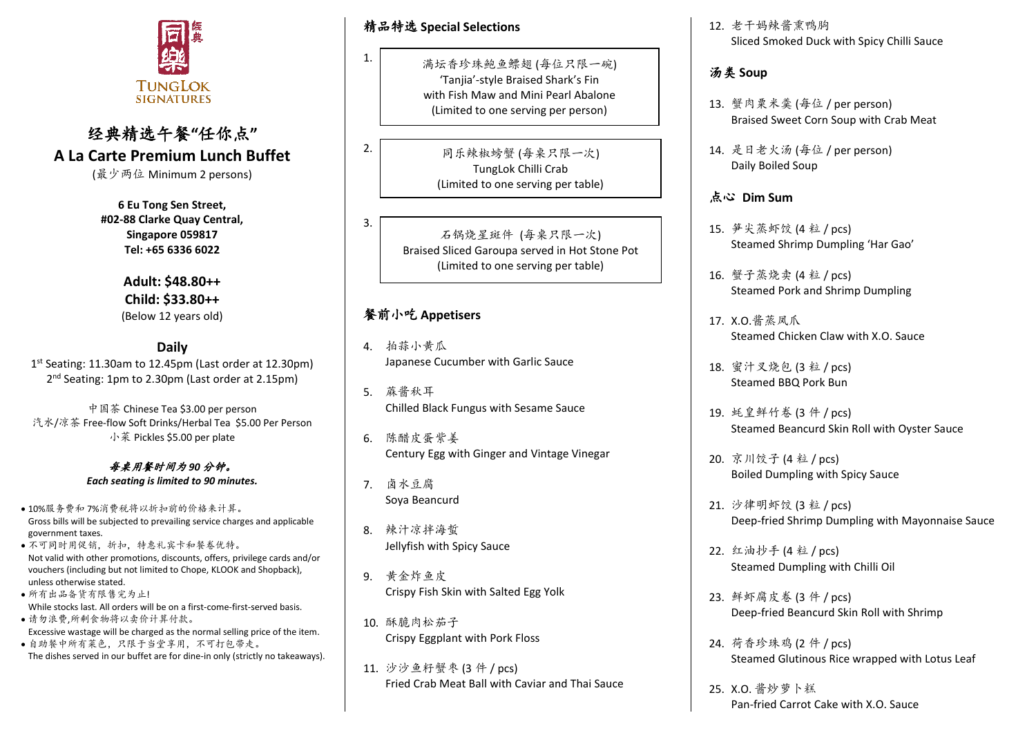

# 经典精选午餐**"**任你点**" A La Carte Premium Lunch Buffet**

(最少两位 Minimum 2 persons)

**6 Eu Tong Sen Street, #02-88 Clarke Quay Central, Singapore 059817 Tel: +65 6336 6022**

> **Adult: \$48.80++ Child: \$33.80++**  (Below 12 years old)

> > **Daily**

1 st Seating: 11.30am to 12.45pm (Last order at 12.30pm) 2<sup>nd</sup> Seating: 1pm to 2.30pm (Last order at 2.15pm)

中国茶 Chinese Tea \$3.00 per person 汽水/凉茶 Free-flow Soft Drinks/Herbal Tea \$5.00 Per Person 小菜 Pickles \$5.00 per plate

> 每桌用餐时间为 *90* 分钟。 *Each seating is limited to 90 minutes.*

- 10%服务费和 7%消费税将以折扣前的价格来计算。 Gross bills will be subjected to prevailing service charges and applicable government taxes.
- 不可同时用促销,折扣,特惠礼宾卡和餐卷优特。 Not valid with other promotions, discounts, offers, privilege cards and/or vouchers (including but not limited to Chope, KLOOK and Shopback), unless otherwise stated.
- 所有出品备货有限售完为止! While stocks last. All orders will be on a first-come-first-served basis. • 请勿浪费,所剩食物将以卖价计算付款。
- Excessive wastage will be charged as the normal selling price of the item.
- 自助餐中所有菜色,只限于当堂享用,不可打包带走。 The dishes served in our buffet are for dine-in only (strictly no takeaways).

精品特选 **Special Selections**

1.

2.

3.

满坛香珍珠鲍鱼鳔翅 (每位只限一碗) 'Tanjia'-style Braised Shark's Fin with Fish Maw and Mini Pearl Abalone (Limited to one serving per person)

> 同乐辣椒螃蟹 (每桌只限一次) TungLok Chilli Crab (Limited to one serving per table)

石锅烧星斑件 (每桌只限一次) Braised Sliced Garoupa served in Hot Stone Pot (Limited to one serving per table)

# 餐前小吃 **Appetisers**

- 4. 拍蒜小黄瓜 Japanese Cucumber with Garlic Sauce
- 5. 蔴酱秋耳 Chilled Black Fungus with Sesame Sauce
- 6. 陈醋皮蛋紫姜 Century Egg with Ginger and Vintage Vinegar

7. 卤水豆腐 Soya Beancurd

- 8. 辣汁凉拌海蜇 Jellyfish with Spicy Sauce
- 9. 黄金炸鱼皮 Crispy Fish Skin with Salted Egg Yolk
- 10. 酥脆肉松茄子 Crispy Eggplant with Pork Floss
- 11. 沙沙鱼籽蟹枣 (3 件 / pcs) Fried Crab Meat Ball with Caviar and Thai Sauce

12. 老干妈辣酱熏鸭胸 Sliced Smoked Duck with Spicy Chilli Sauce

# 汤类 **Soup**

- 13. 蟹肉粟米羹 (每位 / per person) Braised Sweet Corn Soup with Crab Meat
- 14. 是日老火汤 (每位 / per person) Daily Boiled Soup

## 点心 **Dim Sum**

- 15. 笋尖蒸虾饺 (4 粒 / pcs) Steamed Shrimp Dumpling 'Har Gao'
- 16. 蟹子蒸烧卖 (4 粒 / pcs) Steamed Pork and Shrimp Dumpling
- 17. X.O.酱蒸凤爪 Steamed Chicken Claw with X.O. Sauce
- 18. 蜜汁叉烧包 (3 粒 / pcs) Steamed BBQ Pork Bun
- 19. 蚝皇鲜竹卷 (3 件 / pcs) Steamed Beancurd Skin Roll with Oyster Sauce
- 20. 京川饺子 (4 粒 / pcs) Boiled Dumpling with Spicy Sauce
- 21. 沙律明虾饺 (3 粒 / pcs) Deep-fried Shrimp Dumpling with Mayonnaise Sauce
- 22. 红油抄手 (4 粒 / pcs) Steamed Dumpling with Chilli Oil
- 23. 鲜虾腐皮卷 (3 件 / pcs) Deep-fried Beancurd Skin Roll with Shrimp
- 24. 荷香珍珠鸡 (2 件 / pcs) Steamed Glutinous Rice wrapped with Lotus Leaf
- 25. X.O. 酱炒萝卜糕 Pan-fried Carrot Cake with X.O. Sauce